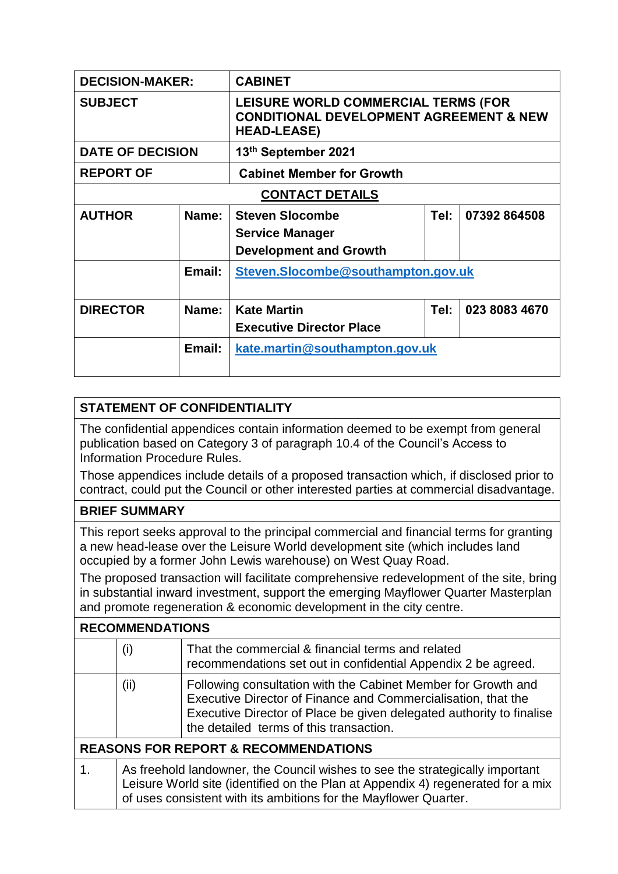| <b>DECISION-MAKER:</b>   |        | <b>CABINET</b>                                                                                                  |      |               |
|--------------------------|--------|-----------------------------------------------------------------------------------------------------------------|------|---------------|
| <b>SUBJECT</b>           |        | LEISURE WORLD COMMERCIAL TERMS (FOR<br><b>CONDITIONAL DEVELOPMENT AGREEMENT &amp; NEW</b><br><b>HEAD-LEASE)</b> |      |               |
| <b>DATE OF DECISION</b>  |        | 13th September 2021                                                                                             |      |               |
| <b>REPORT OF</b>         |        | <b>Cabinet Member for Growth</b>                                                                                |      |               |
| <b>CONTACT DETAILS</b>   |        |                                                                                                                 |      |               |
| <b>AUTHOR</b>            | Name:  | <b>Steven Slocombe</b><br><b>Service Manager</b><br><b>Development and Growth</b>                               | Tel: | 07392864508   |
|                          | Email: | Steven.Slocombe@southampton.gov.uk                                                                              |      |               |
| Name:<br><b>DIRECTOR</b> |        | <b>Kate Martin</b><br><b>Executive Director Place</b>                                                           | Tel: | 023 8083 4670 |
|                          | Email: | kate.martin@southampton.gov.uk                                                                                  |      |               |

## **STATEMENT OF CONFIDENTIALITY**

The confidential appendices contain information deemed to be exempt from general publication based on Category 3 of paragraph 10.4 of the Council's Access to Information Procedure Rules.

Those appendices include details of a proposed transaction which, if disclosed prior to contract, could put the Council or other interested parties at commercial disadvantage.

## **BRIEF SUMMARY**

This report seeks approval to the principal commercial and financial terms for granting a new head-lease over the Leisure World development site (which includes land occupied by a former John Lewis warehouse) on West Quay Road.

The proposed transaction will facilitate comprehensive redevelopment of the site, bring in substantial inward investment, support the emerging Mayflower Quarter Masterplan and promote regeneration & economic development in the city centre.

## **RECOMMENDATIONS**

|                                                 | $\mathsf{(i)}$                                                                                                                                                                                                                      | That the commercial & financial terms and related<br>recommendations set out in confidential Appendix 2 be agreed.                                                                                                                                |  |
|-------------------------------------------------|-------------------------------------------------------------------------------------------------------------------------------------------------------------------------------------------------------------------------------------|---------------------------------------------------------------------------------------------------------------------------------------------------------------------------------------------------------------------------------------------------|--|
|                                                 | (ii)                                                                                                                                                                                                                                | Following consultation with the Cabinet Member for Growth and<br>Executive Director of Finance and Commercialisation, that the<br>Executive Director of Place be given delegated authority to finalise<br>the detailed terms of this transaction. |  |
| <b>REASONS FOR REPORT &amp; RECOMMENDATIONS</b> |                                                                                                                                                                                                                                     |                                                                                                                                                                                                                                                   |  |
| 1.                                              | As freehold landowner, the Council wishes to see the strategically important<br>Leisure World site (identified on the Plan at Appendix 4) regenerated for a mix<br>of uses consistent with its ambitions for the Mayflower Quarter. |                                                                                                                                                                                                                                                   |  |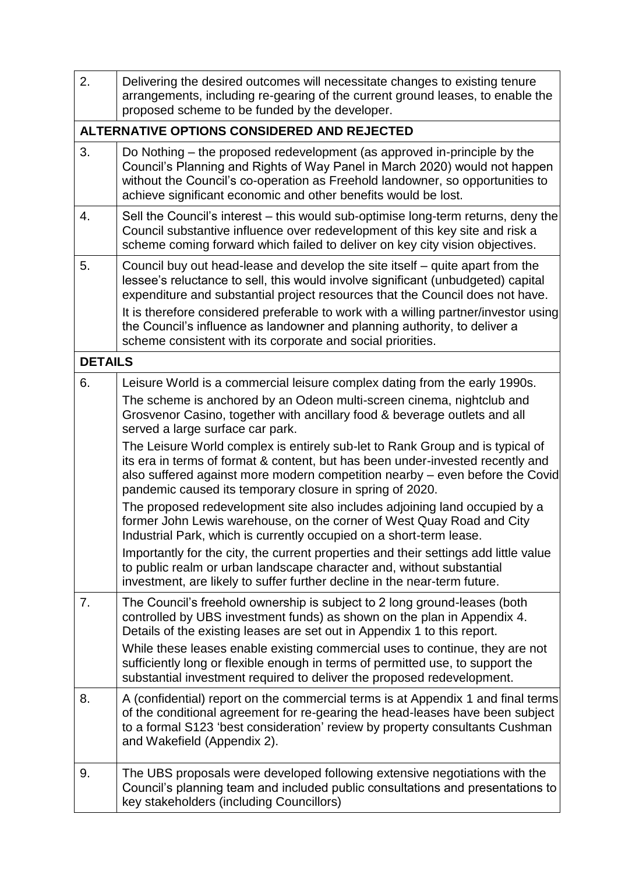| 2.             | Delivering the desired outcomes will necessitate changes to existing tenure<br>arrangements, including re-gearing of the current ground leases, to enable the<br>proposed scheme to be funded by the developer.                                                                                                                                                                                                                                                                       |  |  |  |
|----------------|---------------------------------------------------------------------------------------------------------------------------------------------------------------------------------------------------------------------------------------------------------------------------------------------------------------------------------------------------------------------------------------------------------------------------------------------------------------------------------------|--|--|--|
|                | ALTERNATIVE OPTIONS CONSIDERED AND REJECTED                                                                                                                                                                                                                                                                                                                                                                                                                                           |  |  |  |
| 3.             | Do Nothing – the proposed redevelopment (as approved in-principle by the<br>Council's Planning and Rights of Way Panel in March 2020) would not happen<br>without the Council's co-operation as Freehold landowner, so opportunities to<br>achieve significant economic and other benefits would be lost.                                                                                                                                                                             |  |  |  |
| 4.             | Sell the Council's interest – this would sub-optimise long-term returns, deny the<br>Council substantive influence over redevelopment of this key site and risk a<br>scheme coming forward which failed to deliver on key city vision objectives.                                                                                                                                                                                                                                     |  |  |  |
| 5.             | Council buy out head-lease and develop the site itself – quite apart from the<br>lessee's reluctance to sell, this would involve significant (unbudgeted) capital<br>expenditure and substantial project resources that the Council does not have.<br>It is therefore considered preferable to work with a willing partner/investor using<br>the Council's influence as landowner and planning authority, to deliver a<br>scheme consistent with its corporate and social priorities. |  |  |  |
| <b>DETAILS</b> |                                                                                                                                                                                                                                                                                                                                                                                                                                                                                       |  |  |  |
| 6.             | Leisure World is a commercial leisure complex dating from the early 1990s.                                                                                                                                                                                                                                                                                                                                                                                                            |  |  |  |
|                | The scheme is anchored by an Odeon multi-screen cinema, nightclub and<br>Grosvenor Casino, together with ancillary food & beverage outlets and all<br>served a large surface car park.                                                                                                                                                                                                                                                                                                |  |  |  |
|                | The Leisure World complex is entirely sub-let to Rank Group and is typical of<br>its era in terms of format & content, but has been under-invested recently and<br>also suffered against more modern competition nearby - even before the Covid<br>pandemic caused its temporary closure in spring of 2020.                                                                                                                                                                           |  |  |  |
|                | The proposed redevelopment site also includes adjoining land occupied by a<br>former John Lewis warehouse, on the corner of West Quay Road and City<br>Industrial Park, which is currently occupied on a short-term lease.                                                                                                                                                                                                                                                            |  |  |  |
|                | Importantly for the city, the current properties and their settings add little value<br>to public realm or urban landscape character and, without substantial<br>investment, are likely to suffer further decline in the near-term future.                                                                                                                                                                                                                                            |  |  |  |
| 7.             | The Council's freehold ownership is subject to 2 long ground-leases (both<br>controlled by UBS investment funds) as shown on the plan in Appendix 4.<br>Details of the existing leases are set out in Appendix 1 to this report.                                                                                                                                                                                                                                                      |  |  |  |
|                | While these leases enable existing commercial uses to continue, they are not<br>sufficiently long or flexible enough in terms of permitted use, to support the<br>substantial investment required to deliver the proposed redevelopment.                                                                                                                                                                                                                                              |  |  |  |
| 8.             | A (confidential) report on the commercial terms is at Appendix 1 and final terms<br>of the conditional agreement for re-gearing the head-leases have been subject<br>to a formal S123 'best consideration' review by property consultants Cushman<br>and Wakefield (Appendix 2).                                                                                                                                                                                                      |  |  |  |
| 9.             | The UBS proposals were developed following extensive negotiations with the<br>Council's planning team and included public consultations and presentations to<br>key stakeholders (including Councillors)                                                                                                                                                                                                                                                                              |  |  |  |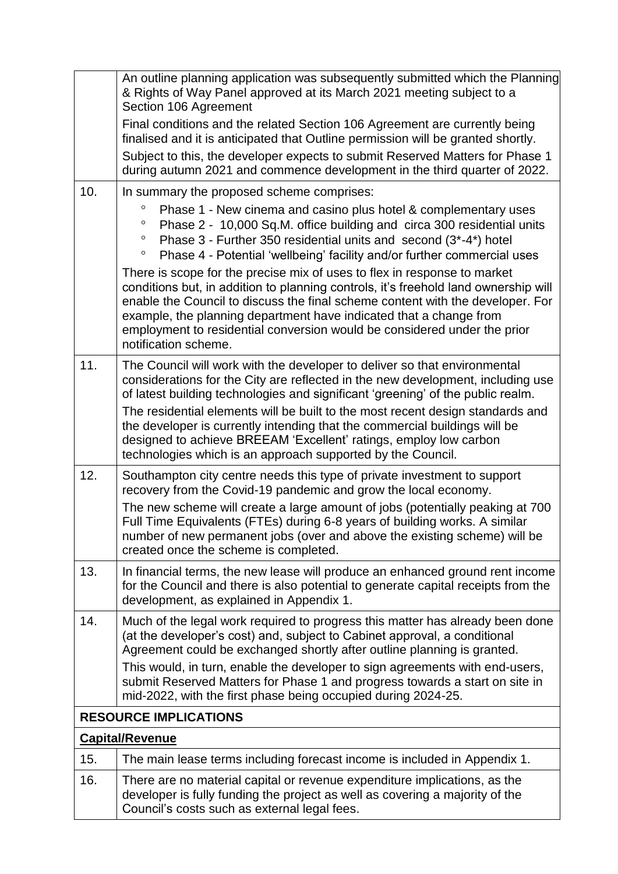|                              | An outline planning application was subsequently submitted which the Planning<br>& Rights of Way Panel approved at its March 2021 meeting subject to a<br>Section 106 Agreement                                                                                                                                                                                                                                             |  |  |
|------------------------------|-----------------------------------------------------------------------------------------------------------------------------------------------------------------------------------------------------------------------------------------------------------------------------------------------------------------------------------------------------------------------------------------------------------------------------|--|--|
|                              | Final conditions and the related Section 106 Agreement are currently being<br>finalised and it is anticipated that Outline permission will be granted shortly.                                                                                                                                                                                                                                                              |  |  |
|                              | Subject to this, the developer expects to submit Reserved Matters for Phase 1<br>during autumn 2021 and commence development in the third quarter of 2022.                                                                                                                                                                                                                                                                  |  |  |
| 10.                          | In summary the proposed scheme comprises:                                                                                                                                                                                                                                                                                                                                                                                   |  |  |
|                              | $\circ$<br>Phase 1 - New cinema and casino plus hotel & complementary uses<br>Phase 2 - 10,000 Sq.M. office building and circa 300 residential units<br>$\circ$<br>Phase $3$ - Further 350 residential units and second $(3^*$ -4*) hotel<br>$\circ$<br>Phase 4 - Potential 'wellbeing' facility and/or further commercial uses<br>$\circ$                                                                                  |  |  |
|                              | There is scope for the precise mix of uses to flex in response to market<br>conditions but, in addition to planning controls, it's freehold land ownership will<br>enable the Council to discuss the final scheme content with the developer. For<br>example, the planning department have indicated that a change from<br>employment to residential conversion would be considered under the prior<br>notification scheme. |  |  |
| 11.                          | The Council will work with the developer to deliver so that environmental<br>considerations for the City are reflected in the new development, including use<br>of latest building technologies and significant 'greening' of the public realm.                                                                                                                                                                             |  |  |
|                              | The residential elements will be built to the most recent design standards and<br>the developer is currently intending that the commercial buildings will be<br>designed to achieve BREEAM 'Excellent' ratings, employ low carbon<br>technologies which is an approach supported by the Council.                                                                                                                            |  |  |
| 12.                          | Southampton city centre needs this type of private investment to support<br>recovery from the Covid-19 pandemic and grow the local economy.                                                                                                                                                                                                                                                                                 |  |  |
|                              | The new scheme will create a large amount of jobs (potentially peaking at 700<br>Full Time Equivalents (FTEs) during 6-8 years of building works. A similar<br>number of new permanent jobs (over and above the existing scheme) will be<br>created once the scheme is completed.                                                                                                                                           |  |  |
| 13.                          | In financial terms, the new lease will produce an enhanced ground rent income<br>for the Council and there is also potential to generate capital receipts from the<br>development, as explained in Appendix 1.                                                                                                                                                                                                              |  |  |
| 14.                          | Much of the legal work required to progress this matter has already been done<br>(at the developer's cost) and, subject to Cabinet approval, a conditional<br>Agreement could be exchanged shortly after outline planning is granted.                                                                                                                                                                                       |  |  |
|                              | This would, in turn, enable the developer to sign agreements with end-users,<br>submit Reserved Matters for Phase 1 and progress towards a start on site in<br>mid-2022, with the first phase being occupied during 2024-25.                                                                                                                                                                                                |  |  |
| <b>RESOURCE IMPLICATIONS</b> |                                                                                                                                                                                                                                                                                                                                                                                                                             |  |  |
|                              | <b>Capital/Revenue</b>                                                                                                                                                                                                                                                                                                                                                                                                      |  |  |
| 15.                          | The main lease terms including forecast income is included in Appendix 1.                                                                                                                                                                                                                                                                                                                                                   |  |  |
| 16.                          | There are no material capital or revenue expenditure implications, as the<br>developer is fully funding the project as well as covering a majority of the<br>Council's costs such as external legal fees.                                                                                                                                                                                                                   |  |  |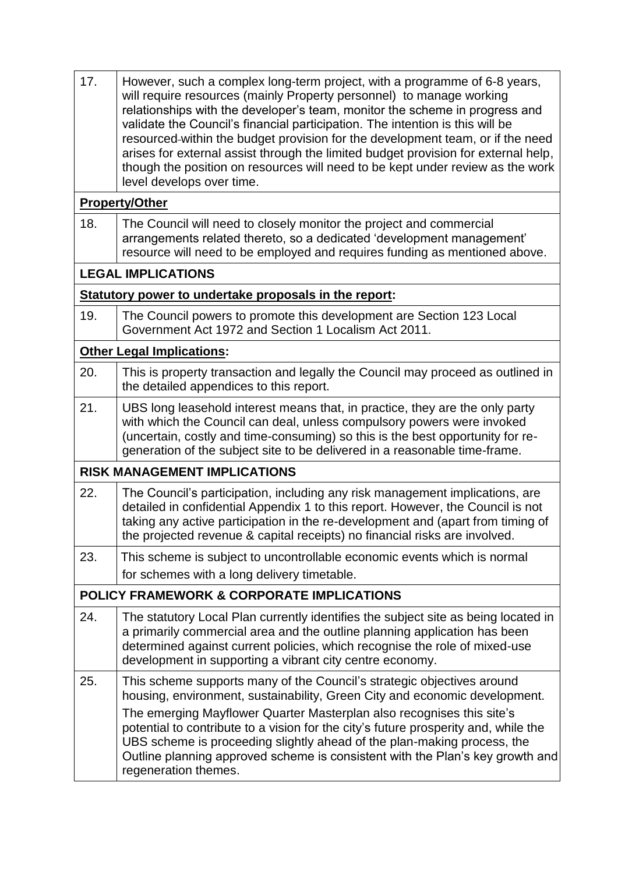| 17. | However, such a complex long-term project, with a programme of 6-8 years,<br>will require resources (mainly Property personnel) to manage working<br>relationships with the developer's team, monitor the scheme in progress and<br>validate the Council's financial participation. The intention is this will be<br>resourced-within the budget provision for the development team, or if the need<br>arises for external assist through the limited budget provision for external help,<br>though the position on resources will need to be kept under review as the work<br>level develops over time. |
|-----|----------------------------------------------------------------------------------------------------------------------------------------------------------------------------------------------------------------------------------------------------------------------------------------------------------------------------------------------------------------------------------------------------------------------------------------------------------------------------------------------------------------------------------------------------------------------------------------------------------|
|     | <b>Property/Other</b>                                                                                                                                                                                                                                                                                                                                                                                                                                                                                                                                                                                    |
| 18. | The Council will need to closely monitor the project and commercial<br>arrangements related thereto, so a dedicated 'development management'<br>resource will need to be employed and requires funding as mentioned above.                                                                                                                                                                                                                                                                                                                                                                               |
|     | <b>LEGAL IMPLICATIONS</b>                                                                                                                                                                                                                                                                                                                                                                                                                                                                                                                                                                                |
|     | Statutory power to undertake proposals in the report:                                                                                                                                                                                                                                                                                                                                                                                                                                                                                                                                                    |
| 19. | The Council powers to promote this development are Section 123 Local<br>Government Act 1972 and Section 1 Localism Act 2011.                                                                                                                                                                                                                                                                                                                                                                                                                                                                             |
|     | <b>Other Legal Implications:</b>                                                                                                                                                                                                                                                                                                                                                                                                                                                                                                                                                                         |
| 20. | This is property transaction and legally the Council may proceed as outlined in<br>the detailed appendices to this report.                                                                                                                                                                                                                                                                                                                                                                                                                                                                               |
| 21. | UBS long leasehold interest means that, in practice, they are the only party<br>with which the Council can deal, unless compulsory powers were invoked<br>(uncertain, costly and time-consuming) so this is the best opportunity for re-<br>generation of the subject site to be delivered in a reasonable time-frame.                                                                                                                                                                                                                                                                                   |
|     | <b>RISK MANAGEMENT IMPLICATIONS</b>                                                                                                                                                                                                                                                                                                                                                                                                                                                                                                                                                                      |
| 22. | The Council's participation, including any risk management implications, are<br>detailed in confidential Appendix 1 to this report. However, the Council is not<br>taking any active participation in the re-development and (apart from timing of<br>the projected revenue & capital receipts) no financial risks are involved.                                                                                                                                                                                                                                                                         |
| 23. | This scheme is subject to uncontrollable economic events which is normal                                                                                                                                                                                                                                                                                                                                                                                                                                                                                                                                 |
|     | for schemes with a long delivery timetable.                                                                                                                                                                                                                                                                                                                                                                                                                                                                                                                                                              |
|     | <b>POLICY FRAMEWORK &amp; CORPORATE IMPLICATIONS</b>                                                                                                                                                                                                                                                                                                                                                                                                                                                                                                                                                     |
| 24. | The statutory Local Plan currently identifies the subject site as being located in<br>a primarily commercial area and the outline planning application has been<br>determined against current policies, which recognise the role of mixed-use<br>development in supporting a vibrant city centre economy.                                                                                                                                                                                                                                                                                                |
| 25. | This scheme supports many of the Council's strategic objectives around<br>housing, environment, sustainability, Green City and economic development.<br>The emerging Mayflower Quarter Masterplan also recognises this site's<br>potential to contribute to a vision for the city's future prosperity and, while the<br>UBS scheme is proceeding slightly ahead of the plan-making process, the<br>Outline planning approved scheme is consistent with the Plan's key growth and<br>regeneration themes.                                                                                                 |